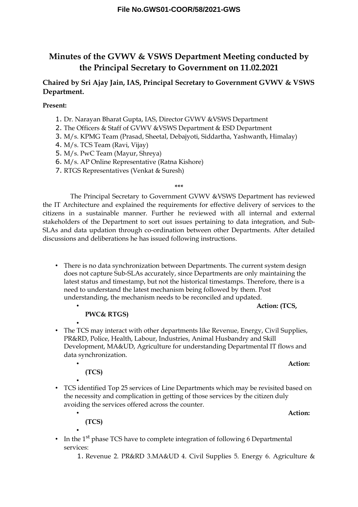# **Minutes of the GVWV & VSWS Department Meeting conducted by the Principal Secretary to Government on 11.02.2021**

## **Chaired by Sri Ajay Jain, IAS, Principal Secretary to Government GVWV & VSWS Department.**

**Present:**

- 1. Dr. Narayan Bharat Gupta, IAS, Director GVWV &VSWS Department
- 2. The Officers & Staff of GVWV &VSWS Department & ESD Department
- 3. M/s. KPMG Team (Prasad, Sheetal, Debajyoti, Siddartha, Yashwanth, Himalay)
- 4. M/s. TCS Team (Ravi, Vijay)
- 5. M/s. PwC Team (Mayur, Shreya)
- 6. M/s. AP Online Representative (Ratna Kishore)
- 7. RTGS Representatives (Venkat & Suresh)

The Principal Secretary to Government GVWV &VSWS Department has reviewed the IT Architecture and explained the requirements for effective delivery of services to the citizens in a sustainable manner. Further he reviewed with all internal and external stakeholders of the Department to sort out issues pertaining to data integration, and Sub-SLAs and data updation through co-ordination between other Departments. After detailed discussions and deliberations he has issued following instructions.

**\*\*\***

• There is no data synchronization between Departments. The current system design does not capture Sub-SLAs accurately, since Departments are only maintaining the latest status and timestamp, but not the historical timestamps. Therefore, there is a need to understand the latest mechanism being followed by them. Post understanding, the mechanism needs to be reconciled and updated.

• **Action: (TCS,** 

**PWC& RTGS)**

• • The TCS may interact with other departments like Revenue, Energy, Civil Supplies, PR&RD, Police, Health, Labour, Industries, Animal Husbandry and Skill Development, MA&UD, Agriculture for understanding Departmental IT flows and data synchronization.

#### • **Action:**

**(TCS)**

• • TCS identified Top 25 services of Line Departments which may be revisited based on the necessity and complication in getting of those services by the citizen duly avoiding the services offered across the counter.

• **Action:** 

- **(TCS)** •
- In the  $1<sup>st</sup>$  phase TCS have to complete integration of following 6 Departmental services:
	- 1. Revenue 2. PR&RD 3.MA&UD 4. Civil Supplies 5. Energy 6. Agriculture &